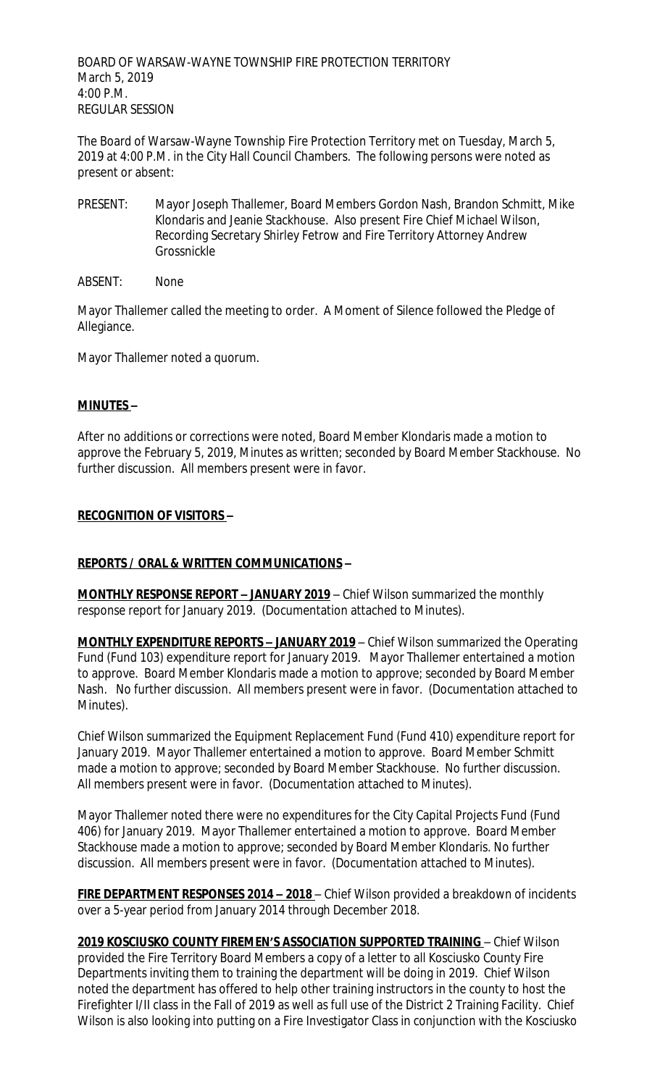BOARD OF WARSAW-WAYNE TOWNSHIP FIRE PROTECTION TERRITORY March 5, 2019 4:00 P.M. REGULAR SESSION

The Board of Warsaw-Wayne Township Fire Protection Territory met on Tuesday, March 5, 2019 at 4:00 P.M. in the City Hall Council Chambers. The following persons were noted as present or absent:

- PRESENT: Mayor Joseph Thallemer, Board Members Gordon Nash, Brandon Schmitt, Mike Klondaris and Jeanie Stackhouse. Also present Fire Chief Michael Wilson, Recording Secretary Shirley Fetrow and Fire Territory Attorney Andrew Grossnickle
- ABSENT: None

Mayor Thallemer called the meeting to order. A Moment of Silence followed the Pledge of Allegiance.

Mayor Thallemer noted a quorum.

# **MINUTES –**

After no additions or corrections were noted, Board Member Klondaris made a motion to approve the February 5, 2019, Minutes as written; seconded by Board Member Stackhouse. No further discussion. All members present were in favor.

# **RECOGNITION OF VISITORS –**

# **REPORTS / ORAL & WRITTEN COMMUNICATIONS –**

**MONTHLY RESPONSE REPORT – JANUARY 2019** – Chief Wilson summarized the monthly response report for January 2019. (Documentation attached to Minutes).

**MONTHLY EXPENDITURE REPORTS – JANUARY 2019** – Chief Wilson summarized the Operating Fund (Fund 103) expenditure report for January 2019. Mayor Thallemer entertained a motion to approve. Board Member Klondaris made a motion to approve; seconded by Board Member Nash. No further discussion. All members present were in favor. (Documentation attached to Minutes).

Chief Wilson summarized the Equipment Replacement Fund (Fund 410) expenditure report for January 2019. Mayor Thallemer entertained a motion to approve. Board Member Schmitt made a motion to approve; seconded by Board Member Stackhouse. No further discussion. All members present were in favor. (Documentation attached to Minutes).

Mayor Thallemer noted there were no expenditures for the City Capital Projects Fund (Fund 406) for January 2019. Mayor Thallemer entertained a motion to approve. Board Member Stackhouse made a motion to approve; seconded by Board Member Klondaris. No further discussion. All members present were in favor. (Documentation attached to Minutes).

**FIRE DEPARTMENT RESPONSES 2014 – 2018** – Chief Wilson provided a breakdown of incidents over a 5-year period from January 2014 through December 2018.

**2019 KOSCIUSKO COUNTY FIREMEN'S ASSOCIATION SUPPORTED TRAINING** – Chief Wilson provided the Fire Territory Board Members a copy of a letter to all Kosciusko County Fire Departments inviting them to training the department will be doing in 2019. Chief Wilson noted the department has offered to help other training instructors in the county to host the Firefighter I/II class in the Fall of 2019 as well as full use of the District 2 Training Facility. Chief Wilson is also looking into putting on a Fire Investigator Class in conjunction with the Kosciusko